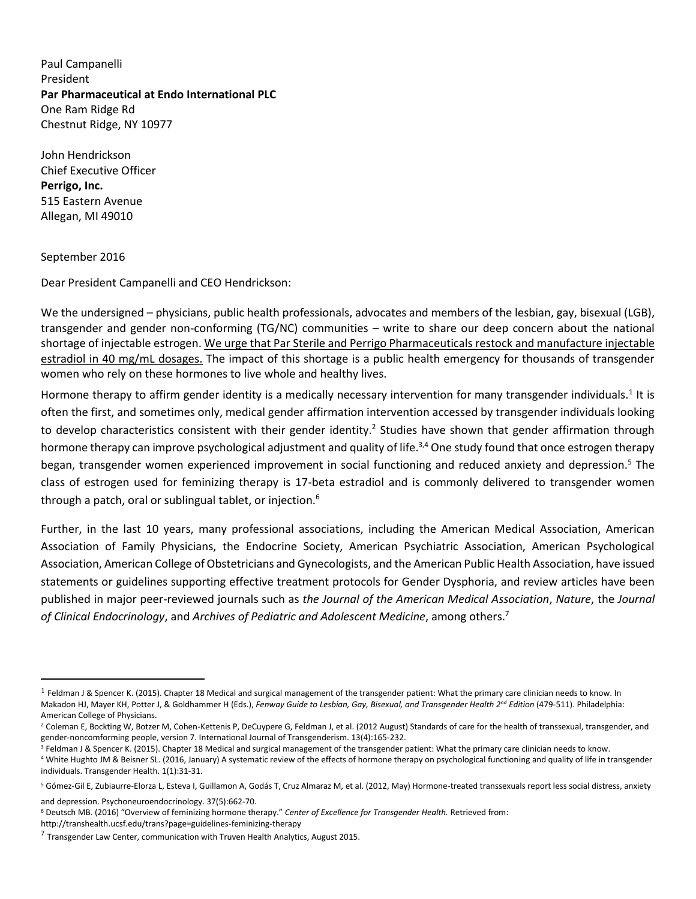Paul Campanelli President **Par Pharmaceutical at Endo International PLC** One Ram Ridge Rd Chestnut Ridge, NY 10977

John Hendrickson Chief Executive Officer **Perrigo, Inc.**  515 Eastern Avenue Allegan, MI 49010

September 2016

 $\overline{a}$ 

Dear President Campanelli and CEO Hendrickson:

We the undersigned – physicians, public health professionals, advocates and members of the lesbian, gay, bisexual (LGB), transgender and gender non-conforming (TG/NC) communities – write to share our deep concern about the national shortage of injectable estrogen. We urge that Par Sterile and Perrigo Pharmaceuticals restock and manufacture injectable estradiol in 40 mg/mL dosages. The impact of this shortage is a public health emergency for thousands of transgender women who rely on these hormones to live whole and healthy lives.

Hormone therapy to affirm gender identity is a medically necessary intervention for many transgender individuals.<sup>1</sup> It is often the first, and sometimes only, medical gender affirmation intervention accessed by transgender individuals looking to develop characteristics consistent with their gender identity.<sup>2</sup> Studies have shown that gender affirmation through hormone therapy can improve psychological adjustment and quality of life.<sup>3,4</sup> One study found that once estrogen therapy began, transgender women experienced improvement in social functioning and reduced anxiety and depression.<sup>5</sup> The class of estrogen used for feminizing therapy is 17-beta estradiol and is commonly delivered to transgender women through a patch, oral or sublingual tablet, or injection.<sup>6</sup>

Further, in the last 10 years, many professional associations, including the American Medical Association, American Association of Family Physicians, the Endocrine Society, American Psychiatric Association, American Psychological Association, American College of Obstetricians and Gynecologists, and the American Public Health Association, have issued statements or guidelines supporting effective treatment protocols for Gender Dysphoria, and review articles have been published in major peer-reviewed journals such as *the Journal of the American Medical Association*, *Nature*, the *Journal of Clinical Endocrinology*, and *Archives of Pediatric and Adolescent Medicine*, among others.<sup>7</sup>

<sup>1</sup> Feldman J & Spencer K. (2015). Chapter 18 Medical and surgical management of the transgender patient: What the primary care clinician needs to know. In Makadon HJ, Mayer KH, Potter J, & Goldhammer H (Eds.), *Fenway Guide to Lesbian, Gay, Bisexual, and Transgender Health 2nd Edition* (479-511). Philadelphia: American College of Physicians.

<sup>&</sup>lt;sup>2</sup> Coleman E, Bockting W, Botzer M, Cohen-Kettenis P, DeCuypere G, Feldman J, et al. (2012 August) Standards of care for the health of transsexual, transgender, and gender-noncomforming people, version 7. International Journal of Transgenderism. 13(4):165-232.

<sup>&</sup>lt;sup>3</sup> Feldman J & Spencer K. (2015). Chapter 18 Medical and surgical management of the transgender patient: What the primary care clinician needs to know.

<sup>4</sup> White Hughto JM & Beisner SL. (2016, January) A systematic review of the effects of hormone therapy on psychological functioning and quality of life in transgender individuals. Transgender Health. 1(1):31-31.

<sup>&</sup>lt;sup>5</sup> Gómez-Gil E, Zubiaurre-Elorza L, Esteva I, Guillamon A, Godás T, Cruz Almaraz M, et al. (2012, May) Hormone-treated transsexuals report less social distress, anxiety and depression. Psychoneuroendocrinology. 37(5):662-70.

<sup>6</sup> Deutsch MB. (2016) "Overview of feminizing hormone therapy." *Center of Excellence for Transgender Health.* Retrieved from:

http://transhealth.ucsf.edu/trans?page=guidelines-feminizing-therapy

 $^7$  Transgender Law Center, communication with Truven Health Analytics, August 2015.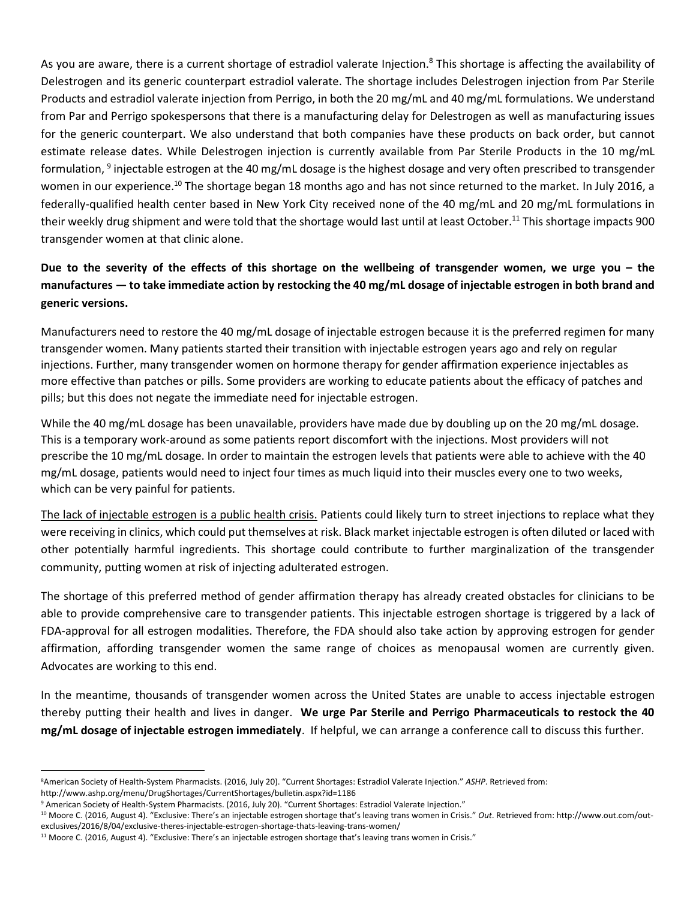As you are aware, there is a current shortage of estradiol valerate Injection.<sup>8</sup> This shortage is affecting the availability of Delestrogen and its generic counterpart estradiol valerate. The shortage includes Delestrogen injection from Par Sterile Products and estradiol valerate injection from Perrigo, in both the 20 mg/mL and 40 mg/mL formulations. We understand from Par and Perrigo spokespersons that there is a manufacturing delay for Delestrogen as well as manufacturing issues for the generic counterpart. We also understand that both companies have these products on back order, but cannot estimate release dates. While Delestrogen injection is currently available from Par Sterile Products in the 10 mg/mL formulation, <sup>9</sup> injectable estrogen at the 40 mg/mL dosage is the highest dosage and very often prescribed to transgender women in our experience.<sup>10</sup> The shortage began 18 months ago and has not since returned to the market. In July 2016, a federally-qualified health center based in New York City received none of the 40 mg/mL and 20 mg/mL formulations in their weekly drug shipment and were told that the shortage would last until at least October.<sup>11</sup> This shortage impacts 900 transgender women at that clinic alone.

# **Due to the severity of the effects of this shortage on the wellbeing of transgender women, we urge you – the manufactures — to take immediate action by restocking the 40 mg/mL dosage of injectable estrogen in both brand and generic versions.**

Manufacturers need to restore the 40 mg/mL dosage of injectable estrogen because it is the preferred regimen for many transgender women. Many patients started their transition with injectable estrogen years ago and rely on regular injections. Further, many transgender women on hormone therapy for gender affirmation experience injectables as more effective than patches or pills. Some providers are working to educate patients about the efficacy of patches and pills; but this does not negate the immediate need for injectable estrogen.

While the 40 mg/mL dosage has been unavailable, providers have made due by doubling up on the 20 mg/mL dosage. This is a temporary work-around as some patients report discomfort with the injections. Most providers will not prescribe the 10 mg/mL dosage. In order to maintain the estrogen levels that patients were able to achieve with the 40 mg/mL dosage, patients would need to inject four times as much liquid into their muscles every one to two weeks, which can be very painful for patients.

The lack of injectable estrogen is a public health crisis. Patients could likely turn to street injections to replace what they were receiving in clinics, which could put themselves at risk. Black market injectable estrogen is often diluted or laced with other potentially harmful ingredients. This shortage could contribute to further marginalization of the transgender community, putting women at risk of injecting adulterated estrogen.

The shortage of this preferred method of gender affirmation therapy has already created obstacles for clinicians to be able to provide comprehensive care to transgender patients. This injectable estrogen shortage is triggered by a lack of FDA-approval for all estrogen modalities. Therefore, the FDA should also take action by approving estrogen for gender affirmation, affording transgender women the same range of choices as menopausal women are currently given. Advocates are working to this end.

In the meantime, thousands of transgender women across the United States are unable to access injectable estrogen thereby putting their health and lives in danger. **We urge Par Sterile and Perrigo Pharmaceuticals to restock the 40 mg/mL dosage of injectable estrogen immediately**. If helpful, we can arrange a conference call to discuss this further.

l <sup>8</sup>American Society of Health-System Pharmacists. (2016, July 20). "Current Shortages: Estradiol Valerate Injection." *ASHP*. Retrieved from:

http://www.ashp.org/menu/DrugShortages/CurrentShortages/bulletin.aspx?id=1186

<sup>9</sup> American Society of Health-System Pharmacists. (2016, July 20). "Current Shortages: Estradiol Valerate Injection."

<sup>10</sup> Moore C. (2016, August 4). "Exclusive: There's an injectable estrogen shortage that's leaving trans women in Crisis." *Out*. Retrieved from: http://www.out.com/outexclusives/2016/8/04/exclusive-theres-injectable-estrogen-shortage-thats-leaving-trans-women/

<sup>&</sup>lt;sup>11</sup> Moore C. (2016, August 4). "Exclusive: There's an injectable estrogen shortage that's leaving trans women in Crisis."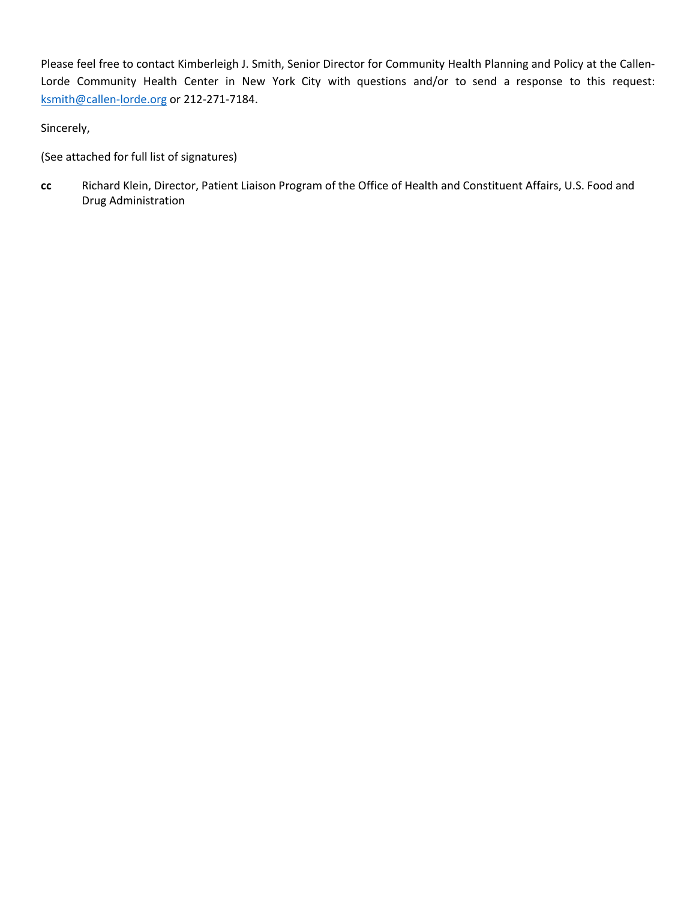Please feel free to contact Kimberleigh J. Smith, Senior Director for Community Health Planning and Policy at the Callen-Lorde Community Health Center in New York City with questions and/or to send a response [to this request:](mailto:ksmith@callen-lorde.org)  [ksmith@c](mailto:ksmith@callen-lorde.org)allen-lorde.org or 212-271-7184.

Sincerely,

(See attached for full [list of signatures\)](https://www.surveymonkey.com/r/R9MFNBQ)

**cc** Richard Klein, Director, Patient Liaison Program of the Office of Health and Constituent Affairs, U.S. Food and Drug Administration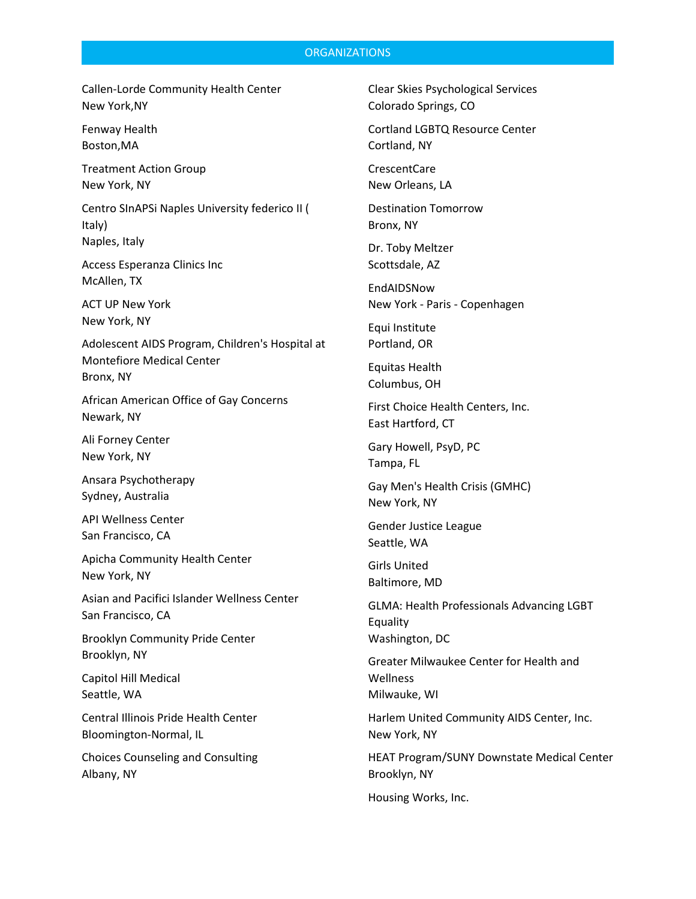#### **ORGANIZATIONS**

Callen-Lorde Community Health Center New York,NY

Fenway Health Boston,MA

Treatment Action Group New York, NY

Centro SInAPSi Naples University federico II ( Italy) Naples, Italy

Access Esperanza Clinics Inc McAllen, TX

ACT UP New York New York, NY

Adolescent AIDS Program, Children's Hospital at Montefiore Medical Center Bronx, NY

African American Office of Gay Concerns Newark, NY

Ali Forney Center New York, NY

Ansara Psychotherapy Sydney, Australia

API Wellness Center San Francisco, CA

Apicha Community Health Center New York, NY

Asian and Pacifici Islander Wellness Center San Francisco, CA

Brooklyn Community Pride Center Brooklyn, NY

Capitol Hill Medical Seattle, WA

Central Illinois Pride Health Center Bloomington-Normal, IL

Choices Counseling and Consulting Albany, NY

Clear Skies Psychological Services Colorado Springs, CO

Cortland LGBTQ Resource Center Cortland, NY

CrescentCare New Orleans, LA

Destination Tomorrow Bronx, NY

Dr. Toby Meltzer Scottsdale, AZ

EndAIDSNow New York - Paris - Copenhagen

Equi Institute Portland, OR

Equitas Health Columbus, OH

First Choice Health Centers, Inc. East Hartford, CT

Gary Howell, PsyD, PC Tampa, FL

Gay Men's Health Crisis (GMHC) New York, NY

Gender Justice League Seattle, WA

Girls United Baltimore, MD

GLMA: Health Professionals Advancing LGBT Equality Washington, DC

Greater Milwaukee Center for Health and **Wellness** Milwauke, WI

Harlem United Community AIDS Center, Inc. New York, NY

HEAT Program/SUNY Downstate Medical Center Brooklyn, NY

Housing Works, Inc.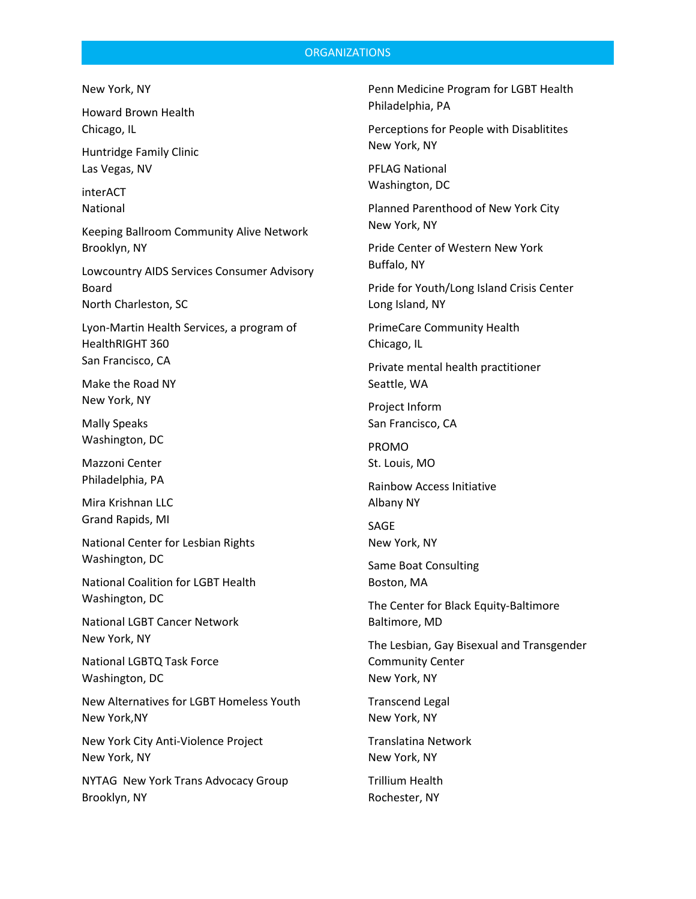### **ORGANIZATIONS**

New York, NY

Howard Brown Health Chicago, IL

Huntridge Family Clinic Las Vegas, NV

interACT National

Keeping Ballroom Community Alive Network Brooklyn, NY

Lowcountry AIDS Services Consumer Advisory Board North Charleston, SC

Lyon-Martin Health Services, a program of HealthRIGHT 360 San Francisco, CA

Make the Road NY New York, NY

Mally Speaks Washington, DC

Mazzoni Center Philadelphia, PA

Mira Krishnan LLC Grand Rapids, MI

National Center for Lesbian Rights Washington, DC

National Coalition for LGBT Health Washington, DC

National LGBT Cancer Network New York, NY

National LGBTQ Task Force Washington, DC

New Alternatives for LGBT Homeless Youth New York,NY

New York City Anti-Violence Project New York, NY

NYTAG New York Trans Advocacy Group Brooklyn, NY

Penn Medicine Program for LGBT Health Philadelphia, PA

Perceptions for People with Disablitites New York, NY

PFLAG National Washington, DC

Planned Parenthood of New York City New York, NY

Pride Center of Western New York Buffalo, NY

Pride for Youth/Long Island Crisis Center Long Island, NY

PrimeCare Community Health Chicago, IL

Private mental health practitioner Seattle, WA

Project Inform San Francisco, CA

PROMO St. Louis, MO

Rainbow Access Initiative Albany NY

SAGE New York, NY

Same Boat Consulting Boston, MA

The Center for Black Equity-Baltimore Baltimore, MD

The Lesbian, Gay Bisexual and Transgender Community Center New York, NY

Transcend Legal New York, NY

Translatina Network New York, NY

Trillium Health Rochester, NY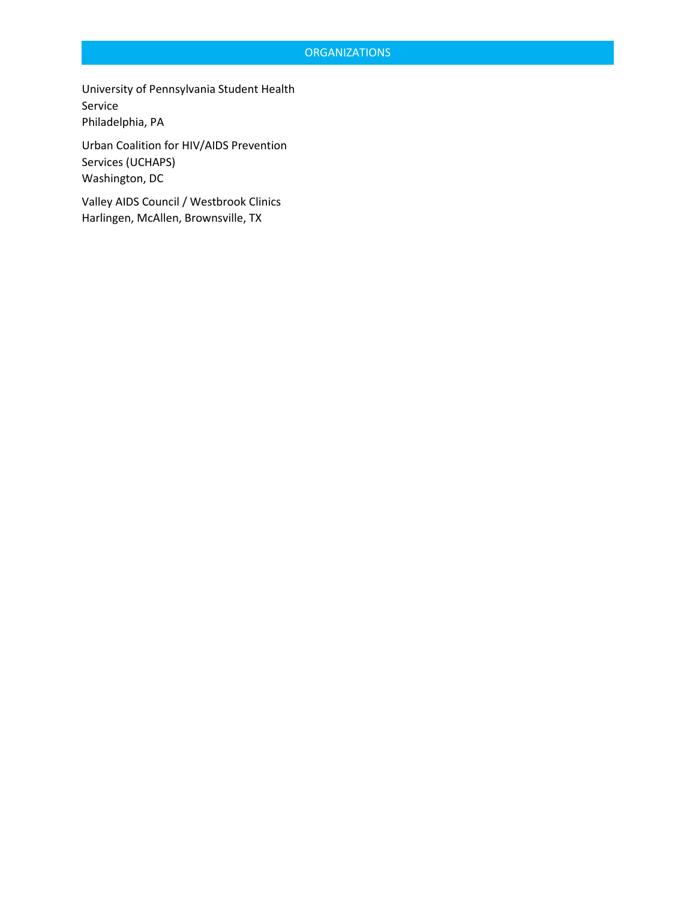## **ORGANIZATIONS**

University of Pennsylvania Student Health Service Philadelphia, PA

Urban Coalition for HIV/AIDS Prevention Services (UCHAPS) Washington, DC

Valley AIDS Council / Westbrook Clinics Harlingen, McAllen, Brownsville, TX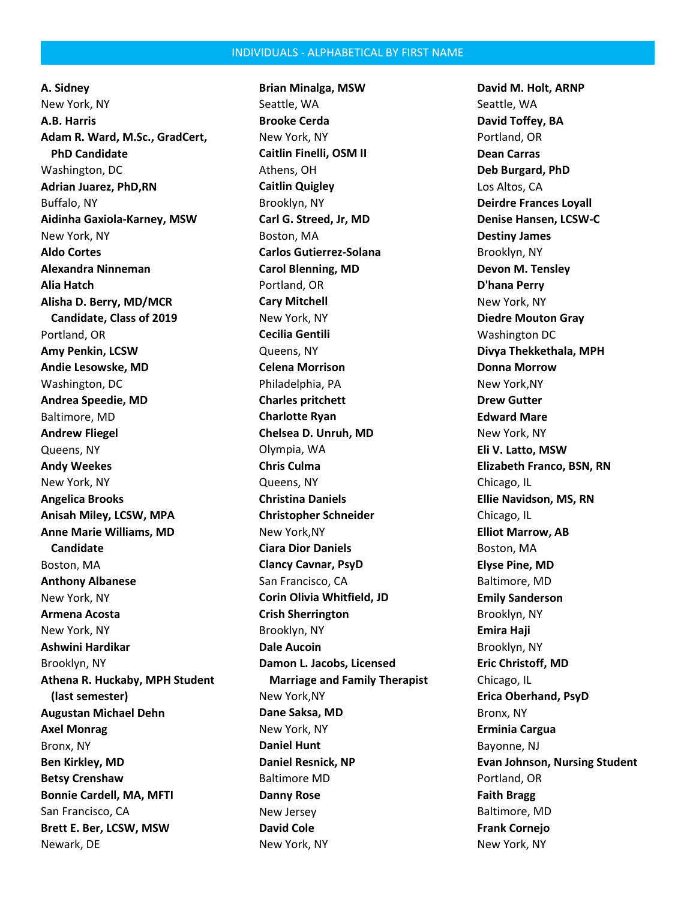#### INDIVIDUALS - ALPHABETICAL BY FIRST NAME

**A. Sidney** New York, NY **A.B. Harris Adam R. Ward, M.Sc., GradCert, PhD Candidate** Washington, DC **Adrian Juarez, PhD,RN** Buffalo, NY **Aidinha Gaxiola-Karney, MSW** New York, NY **Aldo Cortes Alexandra Ninneman Alia Hatch Alisha D. Berry, MD/MCR Candidate, Class of 2019** Portland, OR **Amy Penkin, LCSW Andie Lesowske, MD** Washington, DC **Andrea Speedie, MD** Baltimore, MD **Andrew Fliegel** Queens, NY **Andy Weekes** New York, NY **Angelica Brooks Anisah Miley, LCSW, MPA Anne Marie Williams, MD Candidate** Boston, MA **Anthony Albanese** New York, NY **Armena Acosta** New York, NY **Ashwini Hardikar** Brooklyn, NY **Athena R. Huckaby, MPH Student (last semester) Augustan Michael Dehn Axel Monrag** Bronx, NY **Ben Kirkley, MD Betsy Crenshaw Bonnie Cardell, MA, MFTI** San Francisco, CA **Brett E. Ber, LCSW, MSW** Newark, DE

**Brian Minalga, MSW** Seattle, WA **Brooke Cerda** New York, NY **Caitlin Finelli, OSM II** Athens, OH **Caitlin Quigley** Brooklyn, NY **Carl G. Streed, Jr, MD** Boston, MA **Carlos Gutierrez-Solana Carol Blenning, MD** Portland, OR **Cary Mitchell** New York, NY **Cecilia Gentili** Queens, NY **Celena Morrison** Philadelphia, PA **Charles pritchett Charlotte Ryan Chelsea D. Unruh, MD** Olympia, WA **Chris Culma** Queens, NY **Christina Daniels Christopher Schneider** New York,NY **Ciara Dior Daniels Clancy Cavnar, PsyD** San Francisco, CA **Corin Olivia Whitfield, JD Crish Sherrington** Brooklyn, NY **Dale Aucoin Damon L. Jacobs, Licensed Marriage and Family Therapist** New York,NY **Dane Saksa, MD** New York, NY **Daniel Hunt Daniel Resnick, NP** Baltimore MD **Danny Rose** New Jersey **David Cole** New York, NY

**David M. Holt, ARNP** Seattle, WA **David Toffey, BA** Portland, OR **Dean Carras Deb Burgard, PhD** Los Altos, CA **Deirdre Frances Loyall Denise Hansen, LCSW-C Destiny James** Brooklyn, NY **Devon M. Tensley D'hana Perry** New York, NY **Diedre Mouton Gray** Washington DC **Divya Thekkethala, MPH Donna Morrow** New York,NY **Drew Gutter Edward Mare** New York, NY **Eli V. Latto, MSW Elizabeth Franco, BSN, RN** Chicago, IL **Ellie Navidson, MS, RN** Chicago, IL **Elliot Marrow, AB** Boston, MA **Elyse Pine, MD** Baltimore, MD **Emily Sanderson** Brooklyn, NY **Emira Haji** Brooklyn, NY **Eric Christoff, MD** Chicago, IL **Erica Oberhand, PsyD** Bronx, NY **Erminia Cargua** Bayonne, NJ **Evan Johnson, Nursing Student** Portland, OR **Faith Bragg** Baltimore, MD **Frank Cornejo** New York, NY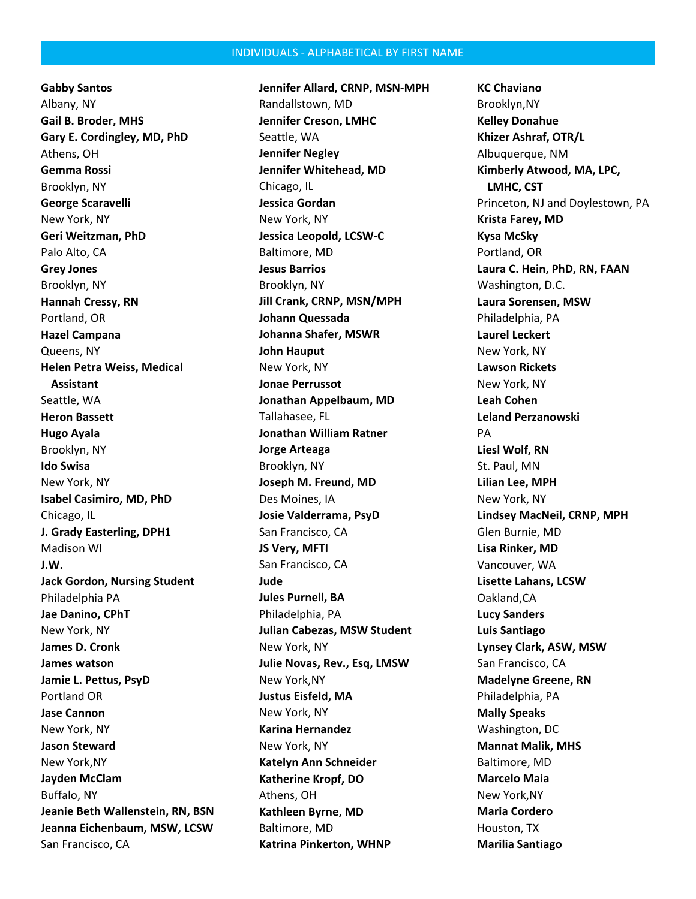**Gabby Santos** Albany, NY **Gail B. Broder, MHS Gary E. Cordingley, MD, PhD** Athens, OH **Gemma Rossi** Brooklyn, NY **George Scaravelli** New York, NY **Geri Weitzman, PhD** Palo Alto, CA **Grey Jones** Brooklyn, NY **Hannah Cressy, RN** Portland, OR **Hazel Campana** Queens, NY **Helen Petra Weiss, Medical Assistant** Seattle, WA **Heron Bassett Hugo Ayala** Brooklyn, NY **Ido Swisa** New York, NY **Isabel Casimiro, MD, PhD** Chicago, IL **J. Grady Easterling, DPH1** Madison WI **J.W. Jack Gordon, Nursing Student** Philadelphia PA **Jae Danino, CPhT** New York, NY **James D. Cronk James watson Jamie L. Pettus, PsyD** Portland OR **Jase Cannon** New York, NY **Jason Steward** New York,NY **Jayden McClam** Buffalo, NY **Jeanie Beth Wallenstein, RN, BSN Jeanna Eichenbaum, MSW, LCSW** San Francisco, CA

**Jennifer Allard, CRNP, MSN-MPH** Randallstown, MD **Jennifer Creson, LMHC** Seattle, WA **Jennifer Negley Jennifer Whitehead, MD** Chicago, IL **Jessica Gordan** New York, NY **Jessica Leopold, LCSW-C** Baltimore, MD **Jesus Barrios** Brooklyn, NY **Jill Crank, CRNP, MSN/MPH Johann Quessada Johanna Shafer, MSWR John Hauput** New York, NY **Jonae Perrussot Jonathan Appelbaum, MD** Tallahasee, FL **Jonathan William Ratner Jorge Arteaga** Brooklyn, NY **Joseph M. Freund, MD** Des Moines, IA **Josie Valderrama, PsyD** San Francisco, CA **JS Very, MFTI** San Francisco, CA **Jude Jules Purnell, BA** Philadelphia, PA **Julian Cabezas, MSW Student** New York, NY **Julie Novas, Rev., Esq, LMSW** New York,NY **Justus Eisfeld, MA** New York, NY **Karina Hernandez** New York, NY **Katelyn Ann Schneider Katherine Kropf, DO** Athens, OH **Kathleen Byrne, MD** Baltimore, MD **Katrina Pinkerton, WHNP**

**KC Chaviano** Brooklyn,NY **Kelley Donahue Khizer Ashraf, OTR/L** Albuquerque, NM **Kimberly Atwood, MA, LPC, LMHC, CST** Princeton, NJ and Doylestown, PA **Krista Farey, MD Kysa McSky** Portland, OR **Laura C. Hein, PhD, RN, FAAN** Washington, D.C. **Laura Sorensen, MSW** Philadelphia, PA **Laurel Leckert** New York, NY **Lawson Rickets** New York, NY **Leah Cohen Leland Perzanowski** PA **Liesl Wolf, RN** St. Paul, MN **Lilian Lee, MPH** New York, NY **Lindsey MacNeil, CRNP, MPH** Glen Burnie, MD **Lisa Rinker, MD** Vancouver, WA **Lisette Lahans, LCSW** Oakland,CA **Lucy Sanders Luis Santiago Lynsey Clark, ASW, MSW** San Francisco, CA **Madelyne Greene, RN** Philadelphia, PA **Mally Speaks** Washington, DC **Mannat Malik, MHS** Baltimore, MD **Marcelo Maia** New York,NY **Maria Cordero** Houston, TX **Marilia Santiago**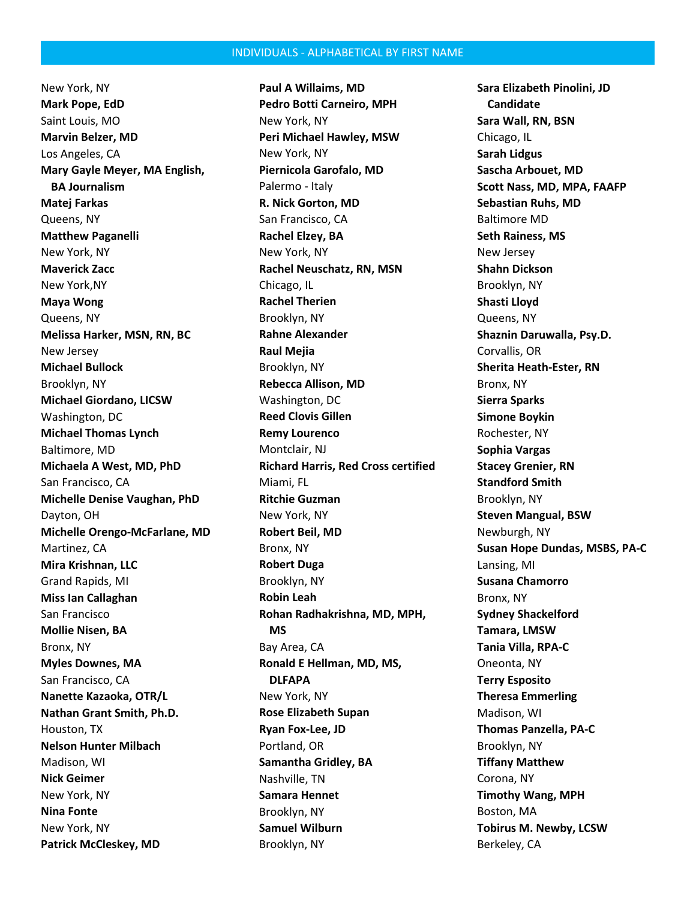New York, NY **Mark Pope, EdD** Saint Louis, MO **Marvin Belzer, MD** Los Angeles, CA **Mary Gayle Meyer, MA English, BA Journalism Matej Farkas** Queens, NY **Matthew Paganelli** New York, NY **Maverick Zacc** New York,NY **Maya Wong** Queens, NY **Melissa Harker, MSN, RN, BC** New Jersey **Michael Bullock** Brooklyn, NY **Michael Giordano, LICSW** Washington, DC **Michael Thomas Lynch** Baltimore, MD **Michaela A West, MD, PhD** San Francisco, CA **Michelle Denise Vaughan, PhD** Dayton, OH **Michelle Orengo-McFarlane, MD** Martinez, CA **Mira Krishnan, LLC** Grand Rapids, MI **Miss Ian Callaghan** San Francisco **Mollie Nisen, BA** Bronx, NY **Myles Downes, MA** San Francisco, CA **Nanette Kazaoka, OTR/L Nathan Grant Smith, Ph.D.** Houston, TX **Nelson Hunter Milbach** Madison, WI **Nick Geimer** New York, NY **Nina Fonte** New York, NY **Patrick McCleskey, MD**

**Paul A Willaims, MD Pedro Botti Carneiro, MPH** New York, NY **Peri Michael Hawley, MSW** New York, NY **Piernicola Garofalo, MD** Palermo - Italy **R. Nick Gorton, MD** San Francisco, CA **Rachel Elzey, BA** New York, NY **Rachel Neuschatz, RN, MSN** Chicago, IL **Rachel Therien** Brooklyn, NY **Rahne Alexander Raul Mejia** Brooklyn, NY **Rebecca Allison, MD** Washington, DC **Reed Clovis Gillen Remy Lourenco** Montclair, NJ **Richard Harris, Red Cross certified** Miami, FL **Ritchie Guzman** New York, NY **Robert Beil, MD** Bronx, NY **Robert Duga** Brooklyn, NY **Robin Leah Rohan Radhakrishna, MD, MPH, MS** Bay Area, CA **Ronald E Hellman, MD, MS, DLFAPA** New York, NY **Rose Elizabeth Supan Ryan Fox-Lee, JD** Portland, OR **Samantha Gridley, BA** Nashville, TN **Samara Hennet** Brooklyn, NY **Samuel Wilburn** Brooklyn, NY

**Sara Elizabeth Pinolini, JD Candidate Sara Wall, RN, BSN** Chicago, IL **Sarah Lidgus Sascha Arbouet, MD Scott Nass, MD, MPA, FAAFP Sebastian Ruhs, MD** Baltimore MD **Seth Rainess, MS** New Jersey **Shahn Dickson** Brooklyn, NY **Shasti Lloyd** Queens, NY **Shaznin Daruwalla, Psy.D.** Corvallis, OR **Sherita Heath-Ester, RN** Bronx, NY **Sierra Sparks Simone Boykin** Rochester, NY **Sophia Vargas Stacey Grenier, RN Standford Smith** Brooklyn, NY **Steven Mangual, BSW** Newburgh, NY **Susan Hope Dundas, MSBS, PA-C** Lansing, MI **Susana Chamorro** Bronx, NY **Sydney Shackelford Tamara, LMSW Tania Villa, RPA-C** Oneonta, NY **Terry Esposito Theresa Emmerling** Madison, WI **Thomas Panzella, PA-C** Brooklyn, NY **Tiffany Matthew** Corona, NY **Timothy Wang, MPH** Boston, MA **Tobirus M. Newby, LCSW** Berkeley, CA